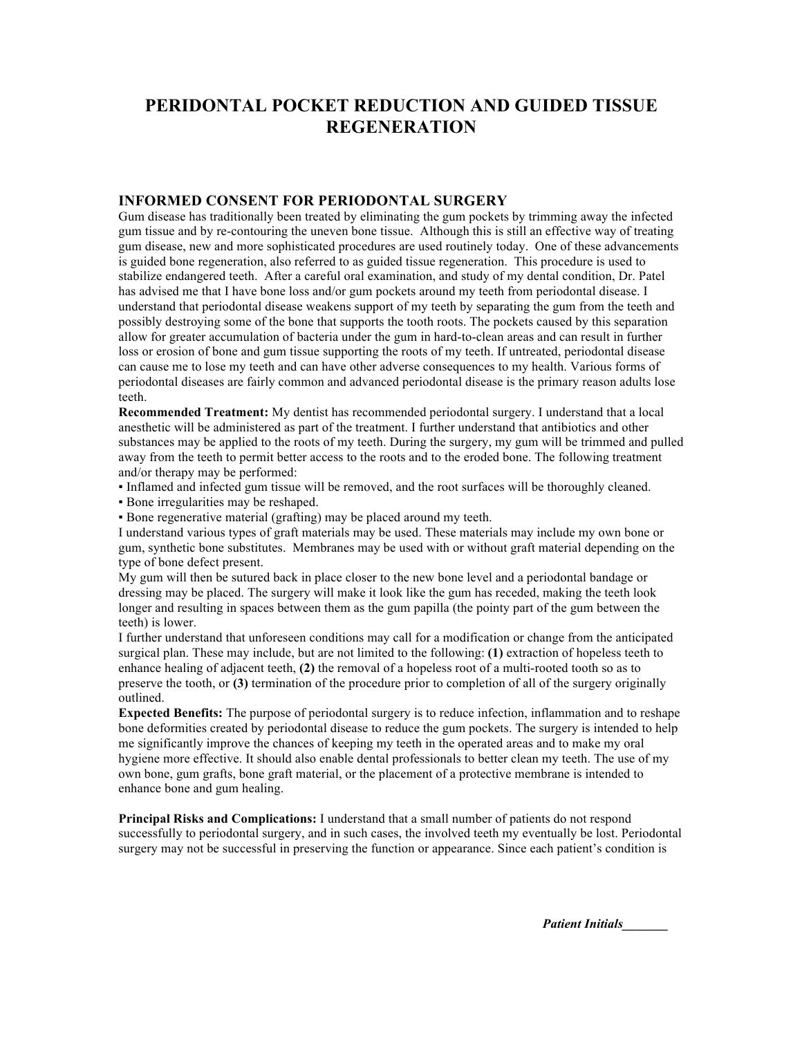## **PERIDONTAL POCKET REDUCTION AND GUIDED TISSUE REGENERATION**

## **INFORMED CONSENT FOR PERIODONTAL SURGERY**

Gum disease has traditionally been treated by eliminating the gum pockets by trimming away the infected gum tissue and by re-contouring the uneven bone tissue. Although this is still an effective way of treating gum disease, new and more sophisticated procedures are used routinely today. One of these advancements is guided bone regeneration, also referred to as guided tissue regeneration. This procedure is used to stabilize endangered teeth. After a careful oral examination, and study of my dental condition, Dr. Patel has advised me that I have bone loss and/or gum pockets around my teeth from periodontal disease. I understand that periodontal disease weakens support of my teeth by separating the gum from the teeth and possibly destroying some of the bone that supports the tooth roots. The pockets caused by this separation allow for greater accumulation of bacteria under the gum in hard-to-clean areas and can result in further loss or erosion of bone and gum tissue supporting the roots of my teeth. If untreated, periodontal disease can cause me to lose my teeth and can have other adverse consequences to my health. Various forms of periodontal diseases are fairly common and advanced periodontal disease is the primary reason adults lose teeth.

**Recommended Treatment:** My dentist has recommended periodontal surgery. I understand that a local anesthetic will be administered as part of the treatment. I further understand that antibiotics and other substances may be applied to the roots of my teeth. During the surgery, my gum will be trimmed and pulled away from the teeth to permit better access to the roots and to the eroded bone. The following treatment and/or therapy may be performed:

▪ Inflamed and infected gum tissue will be removed, and the root surfaces will be thoroughly cleaned.

▪ Bone irregularities may be reshaped.

▪ Bone regenerative material (grafting) may be placed around my teeth.

I understand various types of graft materials may be used. These materials may include my own bone or gum, synthetic bone substitutes. Membranes may be used with or without graft material depending on the type of bone defect present.

My gum will then be sutured back in place closer to the new bone level and a periodontal bandage or dressing may be placed. The surgery will make it look like the gum has receded, making the teeth look longer and resulting in spaces between them as the gum papilla (the pointy part of the gum between the teeth) is lower.

I further understand that unforeseen conditions may call for a modification or change from the anticipated surgical plan. These may include, but are not limited to the following: **(1)** extraction of hopeless teeth to enhance healing of adjacent teeth, **(2)** the removal of a hopeless root of a multi-rooted tooth so as to preserve the tooth, or **(3)** termination of the procedure prior to completion of all of the surgery originally outlined.

**Expected Benefits:** The purpose of periodontal surgery is to reduce infection, inflammation and to reshape bone deformities created by periodontal disease to reduce the gum pockets. The surgery is intended to help me significantly improve the chances of keeping my teeth in the operated areas and to make my oral hygiene more effective. It should also enable dental professionals to better clean my teeth. The use of my own bone, gum grafts, bone graft material, or the placement of a protective membrane is intended to enhance bone and gum healing.

**Principal Risks and Complications:** I understand that a small number of patients do not respond successfully to periodontal surgery, and in such cases, the involved teeth my eventually be lost. Periodontal surgery may not be successful in preserving the function or appearance. Since each patient's condition is

*Patient Initials\_\_\_\_\_\_\_*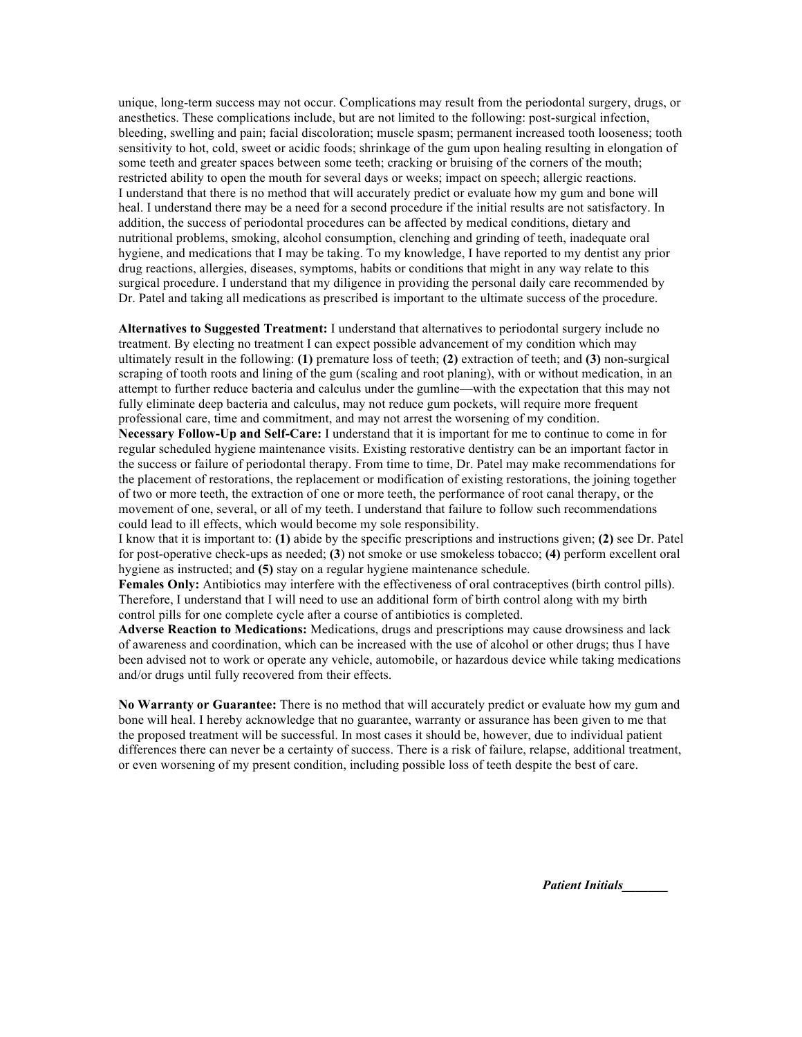unique, long-term success may not occur. Complications may result from the periodontal surgery, drugs, or anesthetics. These complications include, but are not limited to the following: post-surgical infection, bleeding, swelling and pain; facial discoloration; muscle spasm; permanent increased tooth looseness; tooth sensitivity to hot, cold, sweet or acidic foods; shrinkage of the gum upon healing resulting in elongation of some teeth and greater spaces between some teeth; cracking or bruising of the corners of the mouth; restricted ability to open the mouth for several days or weeks; impact on speech; allergic reactions. I understand that there is no method that will accurately predict or evaluate how my gum and bone will heal. I understand there may be a need for a second procedure if the initial results are not satisfactory. In addition, the success of periodontal procedures can be affected by medical conditions, dietary and nutritional problems, smoking, alcohol consumption, clenching and grinding of teeth, inadequate oral hygiene, and medications that I may be taking. To my knowledge, I have reported to my dentist any prior drug reactions, allergies, diseases, symptoms, habits or conditions that might in any way relate to this surgical procedure. I understand that my diligence in providing the personal daily care recommended by Dr. Patel and taking all medications as prescribed is important to the ultimate success of the procedure.

**Alternatives to Suggested Treatment:** I understand that alternatives to periodontal surgery include no treatment. By electing no treatment I can expect possible advancement of my condition which may ultimately result in the following: **(1)** premature loss of teeth; **(2)** extraction of teeth; and **(3)** non-surgical scraping of tooth roots and lining of the gum (scaling and root planing), with or without medication, in an attempt to further reduce bacteria and calculus under the gumline—with the expectation that this may not fully eliminate deep bacteria and calculus, may not reduce gum pockets, will require more frequent professional care, time and commitment, and may not arrest the worsening of my condition.

**Necessary Follow-Up and Self-Care:** I understand that it is important for me to continue to come in for regular scheduled hygiene maintenance visits. Existing restorative dentistry can be an important factor in the success or failure of periodontal therapy. From time to time, Dr. Patel may make recommendations for the placement of restorations, the replacement or modification of existing restorations, the joining together of two or more teeth, the extraction of one or more teeth, the performance of root canal therapy, or the movement of one, several, or all of my teeth. I understand that failure to follow such recommendations could lead to ill effects, which would become my sole responsibility.

I know that it is important to: **(1)** abide by the specific prescriptions and instructions given; **(2)** see Dr. Patel for post-operative check-ups as needed; **(3**) not smoke or use smokeless tobacco; **(4)** perform excellent oral hygiene as instructed; and **(5)** stay on a regular hygiene maintenance schedule.

**Females Only:** Antibiotics may interfere with the effectiveness of oral contraceptives (birth control pills). Therefore, I understand that I will need to use an additional form of birth control along with my birth control pills for one complete cycle after a course of antibiotics is completed.

**Adverse Reaction to Medications:** Medications, drugs and prescriptions may cause drowsiness and lack of awareness and coordination, which can be increased with the use of alcohol or other drugs; thus I have been advised not to work or operate any vehicle, automobile, or hazardous device while taking medications and/or drugs until fully recovered from their effects.

**No Warranty or Guarantee:** There is no method that will accurately predict or evaluate how my gum and bone will heal. I hereby acknowledge that no guarantee, warranty or assurance has been given to me that the proposed treatment will be successful. In most cases it should be, however, due to individual patient differences there can never be a certainty of success. There is a risk of failure, relapse, additional treatment, or even worsening of my present condition, including possible loss of teeth despite the best of care.

*Patient Initials\_\_\_\_\_\_\_*